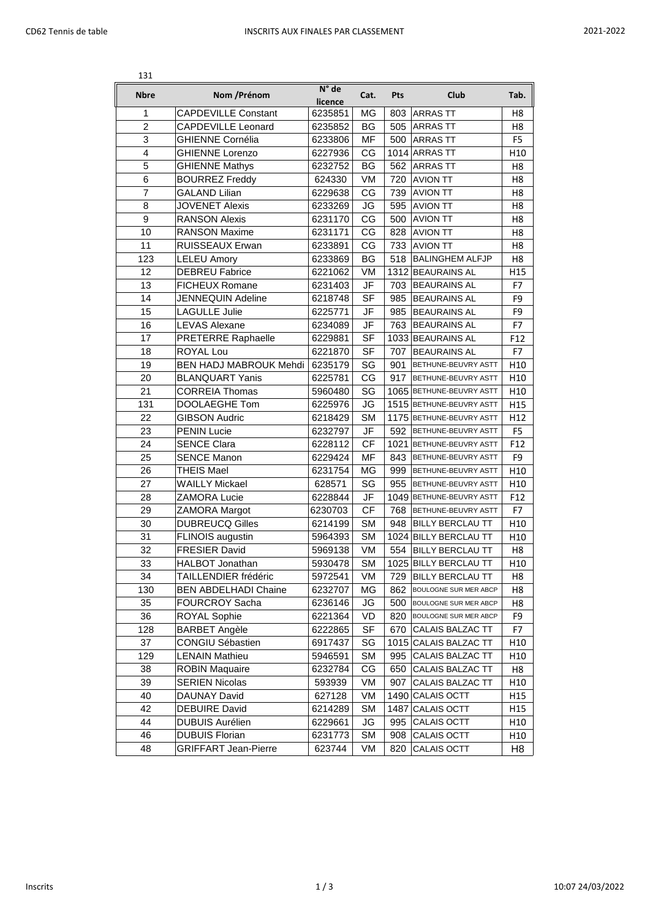| 131              |                               |                  |           |      |                           |                |
|------------------|-------------------------------|------------------|-----------|------|---------------------------|----------------|
| <b>Nbre</b>      | Nom / Prénom                  | N° de<br>licence | Cat.      | Pts  | Club                      | Tab.           |
| 1                | <b>CAPDEVILLE Constant</b>    | 6235851          | MG        | 803  | <b>ARRASTT</b>            | H8             |
| $\overline{2}$   | <b>CAPDEVILLE Leonard</b>     | 6235852          | BG        | 505  | <b>ARRASTT</b>            | H8             |
| 3                | <b>GHIENNE Cornélia</b>       | 6233806          | MF        | 500  | <b>ARRASTT</b>            | F <sub>5</sub> |
| 4                | <b>GHIENNE Lorenzo</b>        | 6227936          | CG        |      | 1014 ARRAS TT             | H10            |
| 5                | <b>GHIENNE Mathys</b>         | 6232752          | BG        | 562  | <b>ARRASTT</b>            | H <sub>8</sub> |
| 6                | <b>BOURREZ Freddy</b>         | 624330           | VM        | 720  | <b>AVION TT</b>           | H <sub>8</sub> |
| $\overline{7}$   | <b>GALAND Lilian</b>          | 6229638          | CG        | 739  | <b>AVION TT</b>           | H8             |
| 8                | <b>JOVENET Alexis</b>         | 6233269          | JG        | 595  | <b>AVION TT</b>           | H8             |
| $\boldsymbol{9}$ | <b>RANSON Alexis</b>          | 6231170          | CG        | 500  | <b>AVION TT</b>           | H8             |
| 10               | <b>RANSON Maxime</b>          | 6231171          | CG        | 828  | <b>AVION TT</b>           | H8             |
| 11               | <b>RUISSEAUX Erwan</b>        | 6233891          | CG        | 733  | <b>AVION TT</b>           | H8             |
| 123              | <b>LELEU Amory</b>            | 6233869          | BG        | 518  | <b>BALINGHEM ALFJP</b>    | H8             |
| 12               | <b>DEBREU Fabrice</b>         | 6221062          | VM        |      | 1312 BEAURAINS AL         | H15            |
| 13               | <b>FICHEUX Romane</b>         | 6231403          | JF        | 703  | <b>BEAURAINS AL</b>       | F7             |
| 14               | JENNEQUIN Adeline             | 6218748          | <b>SF</b> | 985  | <b>BEAURAINS AL</b>       | F9             |
| 15               | LAGULLE Julie                 | 6225771          | JF        | 985  | <b>BEAURAINS AL</b>       | F9             |
| 16               | <b>LEVAS Alexane</b>          | 6234089          | JF        | 763  | <b>BEAURAINS AL</b>       | F7             |
| 17               | <b>PRETERRE Raphaelle</b>     | 6229881          | <b>SF</b> |      | 1033 BEAURAINS AL         | F12            |
| 18               | <b>ROYAL Lou</b>              | 6221870          | <b>SF</b> | 707  | <b>BEAURAINS AL</b>       | F7             |
| 19               | <b>BEN HADJ MABROUK Mehdi</b> | 6235179          | SG        | 901  | BETHUNE-BEUVRY ASTT       | H10            |
| 20               | <b>BLANQUART Yanis</b>        | 6225781          | CG        | 917  | BETHUNE-BEUVRY ASTT       | H10            |
| 21               | <b>CORREIA Thomas</b>         | 5960480          | SG        |      | 1065 BETHUNE-BEUVRY ASTT  | H10            |
| 131              | DOOLAEGHE Tom                 | 6225976          | JG        |      | 1515 BETHUNE-BEUVRY ASTT  | H15            |
| 22               | <b>GIBSON Audric</b>          | 6218429          | <b>SM</b> |      | 1175 BETHUNE-BEUVRY ASTT  | H12            |
| 23               | <b>PENIN Lucie</b>            | 6232797          | JF        |      | 592 BETHUNE-BEUVRY ASTT   | F <sub>5</sub> |
| 24               | <b>SENCE Clara</b>            | 6228112          | <b>CF</b> |      | 1021 BETHUNE-BEUVRY ASTT  | F12            |
| 25               | <b>SENCE Manon</b>            | 6229424          | MF        | 843  | BETHUNE-BEUVRY ASTT       | F <sub>9</sub> |
| 26               | <b>THEIS Mael</b>             | 6231754          | MG        | 999  | BETHUNE-BEUVRY ASTT       | H10            |
| 27               | <b>WAILLY Mickael</b>         | 628571           | SG        | 955  | BETHUNE-BEUVRY ASTT       | H10            |
| 28               | <b>ZAMORA Lucie</b>           | 6228844          | JF        |      | 1049 BETHUNE-BEUVRY ASTT  | F12            |
| 29               | <b>ZAMORA Margot</b>          | 6230703          | <b>CF</b> | 768  | BETHUNE-BEUVRY ASTT       | F7             |
| 30               | <b>DUBREUCQ Gilles</b>        | 6214199          | <b>SM</b> | 948  | <b>BILLY BERCLAU TT</b>   | H10            |
| 31               | FLINOIS augustin              | 5964393          | <b>SM</b> |      | 1024 BILLY BERCLAU TT     | H10            |
| 32               | <b>FRESIER David</b>          | 5969138          | VM        | 554  | <b>BILLY BERCLAU TT</b>   | H8             |
| 33               | HALBOT Jonathan               | 5930478          | SM        |      | 1025 BILLY BERCLAU TT     | H10            |
| 34               | TAILLENDIER frédéric          | 5972541          | VM        | 729  | <b>BILLY BERCLAU TT</b>   | H8             |
| 130              | <b>BEN ABDELHADI Chaine</b>   | 6232707          | MG        |      | 862 BOULOGNE SUR MER ABCP | H8             |
| 35               | <b>FOURCROY Sacha</b>         | 6236146          | JG        | 500  | BOULOGNE SUR MER ABCP     | H8             |
| 36               | <b>ROYAL Sophie</b>           | 6221364          | VD        | 820  | BOULOGNE SUR MER ABCP     | F9             |
| 128              | <b>BARBET Angèle</b>          | 6222865          | <b>SF</b> | 670  | CALAIS BALZAC TT          | F7             |
| 37               | <b>CONGIU Sébastien</b>       | 6917437          | SG        | 1015 | CALAIS BALZAC TT          | H10            |
| 129              | <b>LENAIN Mathieu</b>         | 5946591          | <b>SM</b> | 995  | CALAIS BALZAC TT          | H10            |
| 38               | <b>ROBIN Maquaire</b>         | 6232784          | CG        | 650  | CALAIS BALZAC TT          | H8             |
| 39               | <b>SERIEN Nicolas</b>         | 593939           | VM        | 907  | CALAIS BALZAC TT          | H10            |
| 40               | DAUNAY David                  | 627128           | VM        | 1490 | <b>CALAIS OCTT</b>        | H15            |
| 42               | <b>DEBUIRE David</b>          | 6214289          | SM        | 1487 | CALAIS OCTT               | H15            |
| 44               | <b>DUBUIS Aurélien</b>        | 6229661          | JG        | 995  | CALAIS OCTT               | H10            |
| 46               | <b>DUBUIS Florian</b>         | 6231773          | <b>SM</b> | 908  | CALAIS OCTT               | H10            |
| 48               | <b>GRIFFART Jean-Pierre</b>   | 623744           | VM        | 820  | CALAIS OCTT               | H8             |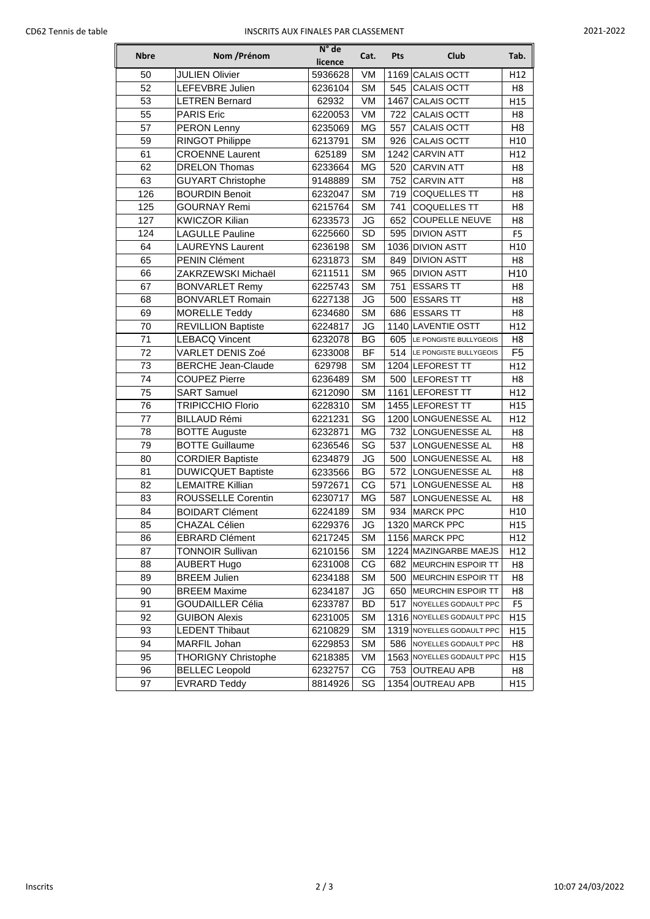## CD62 Tennis de table **INSCRITS AUX FINALES PAR CLASSEMENT** 2021-2022

| <b>Nbre</b> | Nom / Prénom               | $N^{\circ}$ de<br>licence | Cat.      | Pts  | Club                      | Tab.            |
|-------------|----------------------------|---------------------------|-----------|------|---------------------------|-----------------|
| 50          | <b>JULIEN Olivier</b>      | 5936628                   | VM        | 1169 | CALAIS OCTT               | H12             |
| 52          | LEFEVBRE Julien            | 6236104                   | <b>SM</b> | 545  | CALAIS OCTT               | H <sub>8</sub>  |
| 53          | <b>LETREN Bernard</b>      | 62932                     | VM        | 1467 | CALAIS OCTT               | H15             |
| 55          | <b>PARIS Eric</b>          | 6220053                   | VM        | 722  | CALAIS OCTT               | H <sub>8</sub>  |
| 57          | <b>PERON Lenny</b>         | 6235069                   | MG        | 557  | <b>CALAIS OCTT</b>        | H <sub>8</sub>  |
| 59          | <b>RINGOT Philippe</b>     | 6213791                   | <b>SM</b> | 926  | <b>CALAIS OCTT</b>        | H <sub>10</sub> |
| 61          | <b>CROENNE Laurent</b>     | 625189                    | <b>SM</b> | 1242 | <b>CARVIN ATT</b>         | H12             |
| 62          | <b>DRELON Thomas</b>       | 6233664                   | MG        | 520  | <b>CARVIN ATT</b>         | H <sub>8</sub>  |
| 63          | <b>GUYART Christophe</b>   | 9148889                   | <b>SM</b> | 752  | <b>CARVIN ATT</b>         | H <sub>8</sub>  |
| 126         | <b>BOURDIN Benoit</b>      | 6232047                   | <b>SM</b> | 719  | <b>COQUELLES TT</b>       | H <sub>8</sub>  |
| 125         | <b>GOURNAY Remi</b>        | 6215764                   | <b>SM</b> | 741  | <b>COQUELLES TT</b>       | H <sub>8</sub>  |
| 127         | <b>KWICZOR Kilian</b>      | 6233573                   | JG        | 652  | <b>COUPELLE NEUVE</b>     | H <sub>8</sub>  |
| 124         | <b>LAGULLE Pauline</b>     | 6225660                   | SD        | 595  | <b>DIVION ASTT</b>        | F <sub>5</sub>  |
| 64          | <b>LAUREYNS Laurent</b>    | 6236198                   | <b>SM</b> |      | 1036 DIVION ASTT          | H <sub>10</sub> |
| 65          | <b>PENIN Clément</b>       | 6231873                   | <b>SM</b> | 849  | <b>DIVION ASTT</b>        | H <sub>8</sub>  |
| 66          | ZAKRZEWSKI Michaël         | 6211511                   | <b>SM</b> | 965  | <b>DIVION ASTT</b>        | H10             |
| 67          | <b>BONVARLET Remy</b>      | 6225743                   | <b>SM</b> | 751  | <b>ESSARS TT</b>          | H <sub>8</sub>  |
| 68          | <b>BONVARLET Romain</b>    | 6227138                   | JG        | 500  | <b>ESSARS TT</b>          | H <sub>8</sub>  |
| 69          | <b>MORELLE Teddy</b>       | 6234680                   | <b>SM</b> | 686  | <b>ESSARS TT</b>          | H8              |
| 70          | <b>REVILLION Baptiste</b>  | 6224817                   | JG        |      | 1140 LAVENTIE OSTT        | H12             |
| 71          | <b>LEBACQ Vincent</b>      | 6232078                   | BG        | 605  | LE PONGISTE BULLYGEOIS    | H <sub>8</sub>  |
| 72          | VARLET DENIS Zoé           | 6233008                   | BF        | 514  | LE PONGISTE BULLYGEOIS    | F <sub>5</sub>  |
| 73          | <b>BERCHE Jean-Claude</b>  | 629798                    | <b>SM</b> |      | 1204 LEFOREST TT          | H12             |
| 74          | <b>COUPEZ Pierre</b>       | 6236489                   | <b>SM</b> | 500  | <b>LEFOREST TT</b>        | H8              |
| 75          | <b>SART Samuel</b>         | 6212090                   | <b>SM</b> |      | 1161 LEFOREST TT          | H12             |
| 76          | <b>TRIPICCHIO Florio</b>   | 6228310                   | <b>SM</b> |      | 1455 LEFOREST TT          | H15             |
| 77          | <b>BILLAUD Rémi</b>        | 6221231                   | SG        |      | 1200 LONGUENESSE AL       | H12             |
| 78          | <b>BOTTE Auguste</b>       | 6232871                   | MG        | 732  | LONGUENESSE AL            | H8              |
| 79          | <b>BOTTE Guillaume</b>     | 6236546                   | SG        | 537  | LONGUENESSE AL            | H8              |
| 80          | <b>CORDIER Baptiste</b>    | 6234879                   | JG        | 500  | LONGUENESSE AL            | H <sub>8</sub>  |
| 81          | <b>DUWICQUET Baptiste</b>  | 6233566                   | BG        | 572  | LONGUENESSE AL            | H8              |
| 82          | <b>LEMAITRE Killian</b>    | 5972671                   | CG        | 571  | LONGUENESSE AL            | H <sub>8</sub>  |
| 83          | ROUSSELLE Corentin         | 6230717                   | MG        | 587  | LONGUENESSE AL            | H8              |
| 84          | <b>BOIDART Clément</b>     | 6224189                   | <b>SM</b> | 934  | <b>MARCK PPC</b>          | H10             |
| 85          | <b>CHAZAL Célien</b>       | 6229376                   | JG        |      | 1320 MARCK PPC            | H15             |
| 86          | <b>EBRARD Clément</b>      | 6217245                   | <b>SM</b> |      | 1156 MARCK PPC            | H12             |
| 87          | <b>TONNOIR Sullivan</b>    | 6210156                   | <b>SM</b> |      | 1224   MAZINGARBE MAEJS   | H12             |
| 88          | <b>AUBERT Hugo</b>         | 6231008                   | CG        | 682  | <b>MEURCHIN ESPOIR TT</b> | H8              |
| 89          | <b>BREEM Julien</b>        | 6234188                   | <b>SM</b> | 500  | <b>MEURCHIN ESPOIR TT</b> | H8              |
| 90          | <b>BREEM Maxime</b>        | 6234187                   | JG        | 650  | <b>MEURCHIN ESPOIR TT</b> | H8              |
| 91          | <b>GOUDAILLER Célia</b>    | 6233787                   | BD        | 517  | NOYELLES GODAULT PPC      | F5              |
| 92          | <b>GUIBON Alexis</b>       | 6231005                   | <b>SM</b> |      | 1316 NOYELLES GODAULT PPC | H15             |
| 93          | <b>LEDENT Thibaut</b>      | 6210829                   | <b>SM</b> |      | 1319 NOYELLES GODAULT PPC | H15             |
| 94          | MARFIL Johan               | 6229853                   | <b>SM</b> | 586  | NOYELLES GODAULT PPC      | H8              |
| 95          | <b>THORIGNY Christophe</b> | 6218385                   | VM        |      | 1563 NOYELLES GODAULT PPC | H15             |
| 96          | <b>BELLEC</b> Leopold      | 6232757                   | CG        | 753  | <b>OUTREAU APB</b>        | H8              |
| 97          | <b>EVRARD Teddy</b>        | 8814926                   | SG        | 1354 | <b>OUTREAU APB</b>        | H15             |